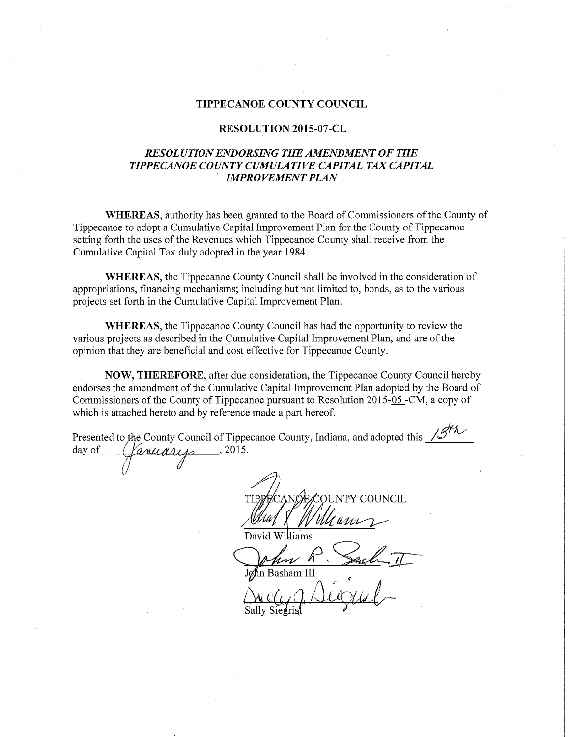## TIPPECANOE COUNTY COUNCIL

## RESOLUTION 2015-07-CL

## RESOLUTION ENDORSING THE AMENDMENT OF THE TIPPECANOE COUNTY CUMULATIVE CAPITAL TAX CAPITAL **IMPROVEMENT PLAN**

WHEREAS, authority has been granted to the Board of Commissioners of the County of Tippecanoe to adopt <sup>a</sup> Cumulative Capital Improvement Plan for the County of Tippecanoe setting forth the uses of the Revenues which Tippecanoe County shall receive from the Cumulative Capital Tax duly adopted in the year 1984.

WHEREAS, the Tippecanoe County Council shall be involved in the consideration of appropriations, financing mechanisms; including but not limited to, bonds, as to the various projects set forth in the Cumulative Capital Improvement Plan.

WHEREAS, the Tippecanoe County Council has had the opportunity to review the ' various projects as described in the Cumulative Capital Improvement Plan, and are of the opinion that they are beneficial and cost effective for Tippecanoe County.

NOW, THEREFORE, after due consideration, the Tippecanoe County Council hereby endorses the amendment of the Cumulative Capital Improvement Plan adopted by the Board of Commissioners of the County of Tippecanoe pursuant to Resolution 2015-05-CM, a copy of which is attached hereto and by reference made <sup>a</sup> part hereof.

|                   | Presented to the County Council of Tippecanoe County, Indiana, and adopted this $\sqrt{3}$ |
|-------------------|--------------------------------------------------------------------------------------------|
| anuaris<br>day of | , 2015.                                                                                    |
|                   |                                                                                            |
|                   |                                                                                            |
|                   | $NCH$ .                                                                                    |
|                   |                                                                                            |
|                   | David Williams                                                                             |
|                   |                                                                                            |
|                   | John Basham III                                                                            |
|                   | $\lambda$ in $\hat{L}$                                                                     |

Sally Siegrist